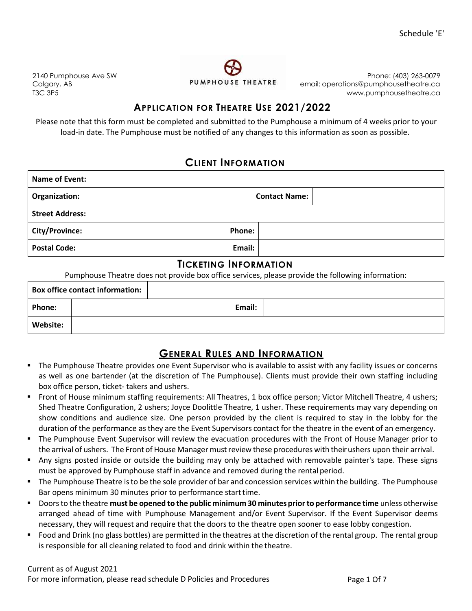2140 Pumphouse Ave SW Calgary, AB T3C 3P5



Phone: (403) 263-0079 email: operations@pumphousetheatre.ca [www.pumphousetheatre.ca](http://www.pumphousetheatre.ca/)

### **APPLICATION FOR THEATRE USE 2021/2022**

Please note that this form must be completed and submitted to the Pumphouse a minimum of 4 weeks prior to your load-in date. The Pumphouse must be notified of any changes to this information as soon as possible.

### **CLIENT INFORMATION**

| Name of Event:         |        |                      |
|------------------------|--------|----------------------|
| Organization:          |        | <b>Contact Name:</b> |
| <b>Street Address:</b> |        |                      |
| <b>City/Province:</b>  | Phone: |                      |
| <b>Postal Code:</b>    | Email: |                      |

### **TICKETING INFORMATION**

Pumphouse Theatre does not provide box office services, please provide the following information:

|               | <b>Box office contact information:</b> |        |  |
|---------------|----------------------------------------|--------|--|
| <b>Phone:</b> |                                        | Email: |  |
| Website:      |                                        |        |  |

## **GENERAL RULES AND INFORMATION**

- The Pumphouse Theatre provides one Event Supervisor who is available to assist with any facility issues or concerns as well as one bartender (at the discretion of The Pumphouse). Clients must provide their own staffing including box office person, ticket- takers and ushers.
- Front of House minimum staffing requirements: All Theatres, 1 box office person; Victor Mitchell Theatre, 4 ushers; Shed Theatre Configuration, 2 ushers; Joyce Doolittle Theatre, 1 usher. These requirements may vary depending on show conditions and audience size. One person provided by the client is required to stay in the lobby for the duration of the performance as they are the Event Supervisors contact for the theatre in the event of an emergency.
- The Pumphouse Event Supervisor will review the evacuation procedures with the Front of House Manager prior to the arrival of ushers. The Front of House Manager must review these procedures with their ushers upon their arrival.
- Any signs posted inside or outside the building may only be attached with removable painter's tape. These signs must be approved by Pumphouse staff in advance and removed during the rental period.
- The Pumphouse Theatre is to be the sole provider of bar and concession services within the building. The Pumphouse Bar opens minimum 30 minutes prior to performance start time.
- Doorsto the theatre **must be opened to the public minimum 30 minutes priorto performance time** unless otherwise arranged ahead of time with Pumphouse Management and/or Event Supervisor. If the Event Supervisor deems necessary, they will request and require that the doors to the theatre open sooner to ease lobby congestion.
- Food and Drink (no glass bottles) are permitted in the theatres at the discretion of the rental group. The rental group is responsible for all cleaning related to food and drink within the theatre.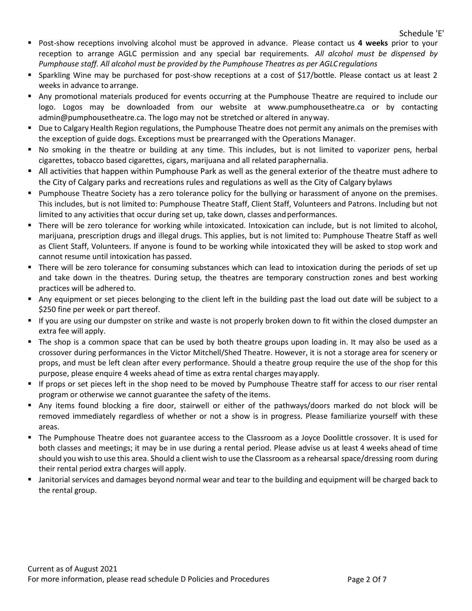- Post-show receptions involving alcohol must be approved in advance. Please contact us **4 weeks** prior to your reception to arrange AGLC permission and any special bar requirements. *All alcohol must be dispensed by Pumphouse staff. All alcohol must be provided by the Pumphouse Theatres as per AGLCregulations*
- Sparkling Wine may be purchased for post-show receptions at a cost of \$17/bottle. Please contact us at least 2 weeks in advance to arrange.
- Any promotional materials produced for events occurring at the Pumphouse Theatre are required to include our logo. Logos may be downloaded from our website at [www.pumphousetheatre.ca o](http://www.pumphousetheatre.ca/)r by contacting admin@pumphousetheatre.ca. The logo may not be stretched or altered in anyway.
- Due to Calgary Health Region regulations, the Pumphouse Theatre does not permit any animals on the premises with the exception of guide dogs. Exceptions must be prearranged with the Operations Manager.
- No smoking in the theatre or building at any time. This includes, but is not limited to vaporizer pens, herbal cigarettes, tobacco based cigarettes, cigars, marijuana and all related paraphernalia.
- All activities that happen within Pumphouse Park as well as the general exterior of the theatre must adhere to the City of Calgary parks and recreations rules and regulations as well as the City of Calgary bylaws
- **Pumphouse Theatre Society has a zero tolerance policy for the bullying or harassment of anyone on the premises.** This includes, but is not limited to: Pumphouse Theatre Staff, Client Staff, Volunteers and Patrons. Including but not limited to any activities that occur during set up, take down, classes and performances.
- There will be zero tolerance for working while intoxicated. Intoxication can include, but is not limited to alcohol, marijuana, prescription drugs and illegal drugs. This applies, but is not limited to: Pumphouse Theatre Staff as well as Client Staff, Volunteers. If anyone is found to be working while intoxicated they will be asked to stop work and cannot resume until intoxication has passed.
- There will be zero tolerance for consuming substances which can lead to intoxication during the periods of set up and take down in the theatres. During setup, the theatres are temporary construction zones and best working practices will be adhered to.
- Any equipment or set pieces belonging to the client left in the building past the load out date will be subject to a \$250 fine per week or part thereof.
- If you are using our dumpster on strike and waste is not properly broken down to fit within the closed dumpster an extra fee will apply.
- The shop is a common space that can be used by both theatre groups upon loading in. It may also be used as a crossover during performances in the Victor Mitchell/Shed Theatre. However, it is not a storage area for scenery or props, and must be left clean after every performance. Should a theatre group require the use of the shop for this purpose, please enquire 4 weeks ahead of time as extra rental charges mayapply.
- If props or set pieces left in the shop need to be moved by Pumphouse Theatre staff for access to our riser rental program or otherwise we cannot guarantee the safety of the items.
- Any items found blocking a fire door, stairwell or either of the pathways/doors marked do not block will be removed immediately regardless of whether or not a show is in progress. Please familiarize yourself with these areas.
- The Pumphouse Theatre does not guarantee access to the Classroom as a Joyce Doolittle crossover. It is used for both classes and meetings; it may be in use during a rental period. Please advise us at least 4 weeks ahead of time should you wish to use this area. Should a client wish to use the Classroom as a rehearsal space/dressing room during their rental period extra charges will apply.
- Janitorial services and damages beyond normal wear and tear to the building and equipment will be charged back to the rental group.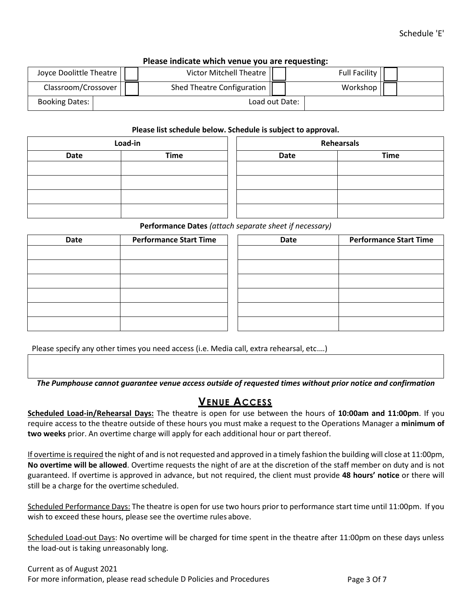| Please indicate which venue you are requesting: |                            |                      |  |  |  |  |  |  |  |  |  |
|-------------------------------------------------|----------------------------|----------------------|--|--|--|--|--|--|--|--|--|
| Joyce Doolittle Theatre                         | Victor Mitchell Theatre    | <b>Full Facility</b> |  |  |  |  |  |  |  |  |  |
| Classroom/Crossover                             | Shed Theatre Configuration | Workshop             |  |  |  |  |  |  |  |  |  |
| Booking Dates:                                  |                            | Load out Date:       |  |  |  |  |  |  |  |  |  |

### **Please indicate which venue you are requesting:**

#### **Please list schedule below. Schedule is subject to approval.**

|             | Load-in     | <b>Rehearsals</b> |             |  |  |  |  |
|-------------|-------------|-------------------|-------------|--|--|--|--|
| <b>Date</b> | <b>Time</b> | Date              | <b>Time</b> |  |  |  |  |
|             |             |                   |             |  |  |  |  |
|             |             |                   |             |  |  |  |  |
|             |             |                   |             |  |  |  |  |
|             |             |                   |             |  |  |  |  |

#### **Performance Dates** *(attach separate sheet if necessary)*

| <b>Date</b> | <b>Performance Start Time</b> | Date | <b>Performance Start Time</b> |
|-------------|-------------------------------|------|-------------------------------|
|             |                               |      |                               |
|             |                               |      |                               |
|             |                               |      |                               |
|             |                               |      |                               |
|             |                               |      |                               |
|             |                               |      |                               |

Please specify any other times you need access (i.e. Media call, extra rehearsal, etc.…)

*The Pumphouse cannot guarantee venue access outside of requested times without prior notice and confirmation*

### **VENUE ACCESS**

**Scheduled Load-in/Rehearsal Days:** The theatre is open for use between the hours of **10:00am and 11:00pm**. If you require access to the theatre outside of these hours you must make a request to the Operations Manager a **minimum of two weeks** prior. An overtime charge will apply for each additional hour or part thereof.

If overtime is required the night of and is not requested and approved in a timely fashion the building will close at 11:00pm, **No overtime will be allowed**. Overtime requests the night of are at the discretion of the staff member on duty and is not guaranteed. If overtime is approved in advance, but not required, the client must provide **48 hours' notice** or there will still be a charge for the overtime scheduled.

Scheduled Performance Days: The theatre is open for use two hours prior to performance start time until 11:00pm. If you wish to exceed these hours, please see the overtime rules above.

Scheduled Load-out Days: No overtime will be charged for time spent in the theatre after 11:00pm on these days unless the load-out is taking unreasonably long.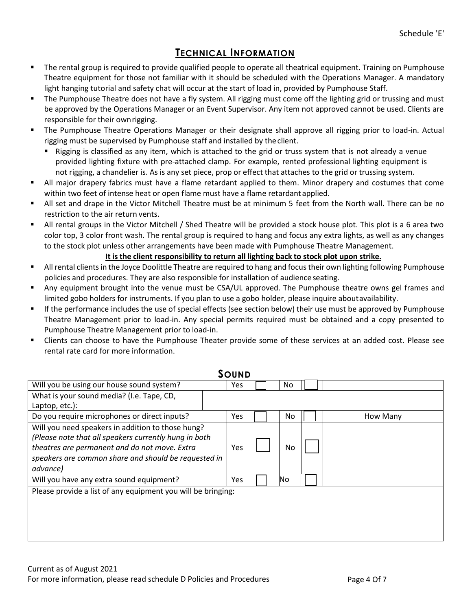# **TECHNICAL INFORMATION**

- The rental group is required to provide qualified people to operate all theatrical equipment. Training on Pumphouse Theatre equipment for those not familiar with it should be scheduled with the Operations Manager. A mandatory light hanging tutorial and safety chat will occur at the start of load in, provided by Pumphouse Staff.
- The Pumphouse Theatre does not have a fly system. All rigging must come off the lighting grid or trussing and must be approved by the Operations Manager or an Event Supervisor. Any item not approved cannot be used. Clients are responsible for their ownrigging.
- The Pumphouse Theatre Operations Manager or their designate shall approve all rigging prior to load-in. Actual rigging must be supervised by Pumphouse staff and installed by theclient.
	- Rigging is classified as any item, which is attached to the grid or truss system that is not already a venue provided lighting fixture with pre-attached clamp. For example, rented professional lighting equipment is not rigging, a chandelier is. As is any set piece, prop or effect that attaches to the grid or trussing system.
- All major drapery fabrics must have a flame retardant applied to them. Minor drapery and costumes that come within two feet of intense heat or open flame must have a flame retardant applied.
- All set and drape in the Victor Mitchell Theatre must be at minimum 5 feet from the North wall. There can be no restriction to the air return vents.
- All rental groups in the Victor Mitchell / Shed Theatre will be provided a stock house plot. This plot is a 6 area two color top, 3 color front wash. The rental group is required to hang and focus any extra lights, as well as any changes to the stock plot unless other arrangements have been made with Pumphouse Theatre Management.

### **It isthe client responsibility to return all lighting back to stock plot upon strike.**

- **All rental clients in the Joyce Doolittle Theatre are required to hang and focus their own lighting following Pumphouse** policies and procedures. They are also responsible for installation of audience seating.
- Any equipment brought into the venue must be CSA/UL approved. The Pumphouse theatre owns gel frames and limited gobo holders for instruments. If you plan to use a gobo holder, please inquire aboutavailability.
- If the performance includes the use of special effects (see section below) their use must be approved by Pumphouse Theatre Management prior to load-in. Any special permits required must be obtained and a copy presented to Pumphouse Theatre Management prior to load-in.
- Clients can choose to have the Pumphouse Theater provide some of these services at an added cost. Please see rental rate card for more information.

|                                                              | <b>SOUND</b> |     |  |          |  |
|--------------------------------------------------------------|--------------|-----|--|----------|--|
| Will you be using our house sound system?                    | Yes          | No. |  |          |  |
| What is your sound media? (I.e. Tape, CD,                    |              |     |  |          |  |
| Laptop, etc.):                                               |              |     |  |          |  |
| Do you require microphones or direct inputs?                 | Yes          | No. |  | How Many |  |
| Will you need speakers in addition to those hung?            |              |     |  |          |  |
| (Please note that all speakers currently hung in both        |              |     |  |          |  |
| theatres are permanent and do not move. Extra                | Yes          | No  |  |          |  |
| speakers are common share and should be requested in         |              |     |  |          |  |
| advance)                                                     |              |     |  |          |  |
| Will you have any extra sound equipment?                     | Yes          | No  |  |          |  |
| Please provide a list of any equipment you will be bringing: |              |     |  |          |  |
|                                                              |              |     |  |          |  |
|                                                              |              |     |  |          |  |
|                                                              |              |     |  |          |  |
|                                                              |              |     |  |          |  |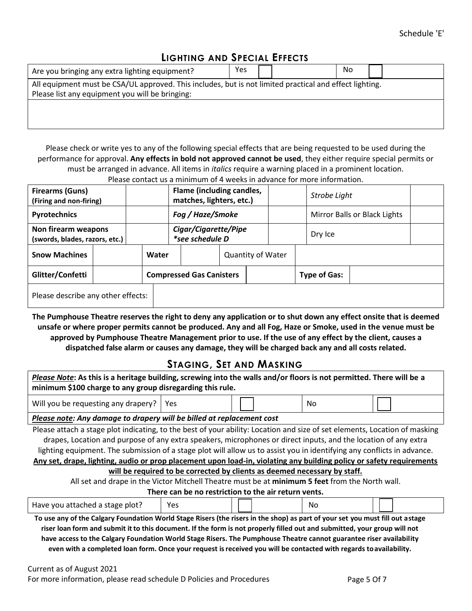# **LIGHTING AND SPECIAL EFFECTS**

| Are you bringing any extra lighting equipment?                                                                                                             | Yes |  | No |  |
|------------------------------------------------------------------------------------------------------------------------------------------------------------|-----|--|----|--|
| All equipment must be CSA/UL approved. This includes, but is not limited practical and effect lighting.<br>Please list any equipment you will be bringing: |     |  |    |  |
|                                                                                                                                                            |     |  |    |  |

Please check or write yes to any of the following special effects that are being requested to be used during the performance for approval. **Any effects in bold not approved cannot be used**, they either require special permits or must be arranged in advance. All items in *italics* require a warning placed in a prominent location. Please contact us a minimum of 4 weeks in advance for more information.

| <b>Firearms (Guns)</b>                                | (Firing and non-firing) |       |                                                | Flame (including candles,<br>matches, lighters, etc.) |                              |         |  | Strobe Light        |  |  |
|-------------------------------------------------------|-------------------------|-------|------------------------------------------------|-------------------------------------------------------|------------------------------|---------|--|---------------------|--|--|
| Pyrotechnics                                          |                         |       | Fog / Haze/Smoke                               |                                                       | Mirror Balls or Black Lights |         |  |                     |  |  |
| Non firearm weapons<br>(swords, blades, razors, etc.) |                         |       | Cigar/Cigarette/Pipe<br><i>*see schedule D</i> |                                                       |                              | Dry Ice |  |                     |  |  |
| <b>Snow Machines</b>                                  |                         | Water |                                                |                                                       | <b>Quantity of Water</b>     |         |  |                     |  |  |
| Glitter/Confetti                                      |                         |       |                                                | <b>Compressed Gas Canisters</b>                       |                              |         |  | <b>Type of Gas:</b> |  |  |
| Please describe any other effects:                    |                         |       |                                                |                                                       |                              |         |  |                     |  |  |

**The Pumphouse Theatre reserves the right to deny any application or to shut down any effect onsite that is deemed unsafe or where proper permits cannot be produced. Any and all Fog, Haze or Smoke, used in the venue must be approved by Pumphouse Theatre Management prior to use. If the use of any effect by the client, causes a dispatched false alarm or causes any damage, they will be charged back any and all costs related.**

## **STAGING, SET AND MASKING**

*Please Note***: As this is a heritage building, screwing into the walls and/or floors is not permitted. There will be a minimum \$100 charge to any group disregarding this rule.**

Will you be requesting any drapery?  $\vert$  Yes  $\vert$   $\vert$   $\vert$   $\vert$   $\vert$   $\vert$   $\vert$  No

#### *Please note: Any damage to drapery will be billed at replacement cost*

Please attach a stage plot indicating, to the best of your ability: Location and size of set elements, Location of masking drapes, Location and purpose of any extra speakers, microphones or direct inputs, and the location of any extra lighting equipment. The submission of a stage plot will allow us to assist you in identifying any conflicts in advance.

**Any set, drape, lighting, audio or prop placement upon load-in, violating any building policy or safety requirements**

### **will be required to be corrected by clients as deemed necessary by staff.**

All set and drape in the Victor Mitchell Theatre must be at **minimum 5 feet** from the North wall.

**There can be no restriction to the air return vents.**

| Have you attached a stage plot?      | ∨ە∨<br>ີ | N0 |      |
|--------------------------------------|----------|----|------|
| $\overline{\phantom{a}}$<br>- -<br>. |          |    | ---- |

**To use any of the Calgary Foundation World Stage Risers (the risers in the shop) as part of your set you must fill out astage riser loan form and submit it to this document. If the form is not properly filled out and submitted, your group will not have access to the Calgary Foundation World Stage Risers. The Pumphouse Theatre cannot guarantee riser availability even with a completed loan form. Once your request is received you will be contacted with regards toavailability.**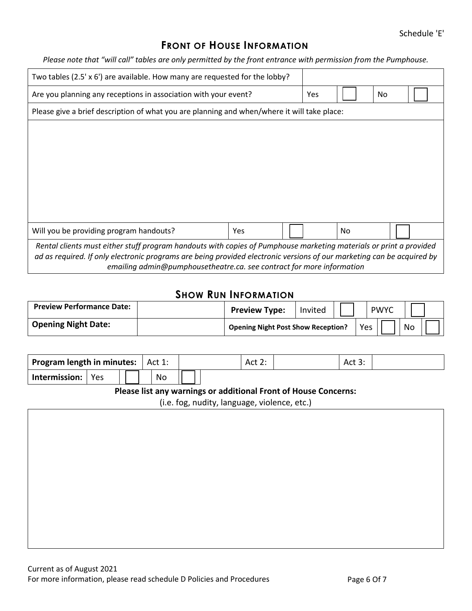## **FRONT OF HOUSE INFORMATION**

*Please note that "will call" tables are only permitted by the front entrance with permission from the Pumphouse.*

| Two tables (2.5' $\times$ 6') are available. How many are requested for the lobby?                                                                                                                                                                                                                                    |            |     |     |     |  |
|-----------------------------------------------------------------------------------------------------------------------------------------------------------------------------------------------------------------------------------------------------------------------------------------------------------------------|------------|-----|-----|-----|--|
| Are you planning any receptions in association with your event?                                                                                                                                                                                                                                                       |            | Yes |     | No. |  |
| Please give a brief description of what you are planning and when/where it will take place:                                                                                                                                                                                                                           |            |     |     |     |  |
|                                                                                                                                                                                                                                                                                                                       |            |     |     |     |  |
|                                                                                                                                                                                                                                                                                                                       |            |     |     |     |  |
|                                                                                                                                                                                                                                                                                                                       |            |     |     |     |  |
|                                                                                                                                                                                                                                                                                                                       |            |     |     |     |  |
|                                                                                                                                                                                                                                                                                                                       |            |     |     |     |  |
|                                                                                                                                                                                                                                                                                                                       |            |     |     |     |  |
| Will you be providing program handouts?                                                                                                                                                                                                                                                                               | <b>Yes</b> |     | No. |     |  |
| Rental clients must either stuff program handouts with copies of Pumphouse marketing materials or print a provided<br>ad as required. If only electronic programs are being provided electronic versions of our marketing can be acquired by<br>emailing admin@pumphousetheatre.ca. see contract for more information |            |     |     |     |  |

## **SHOW RUN INFORMATION**

| <b>Preview Performance Date:</b> | <b>Preview Type:</b>                      | Invited | <b>PWYC</b> |    |  |
|----------------------------------|-------------------------------------------|---------|-------------|----|--|
| <b>Opening Night Date:</b>       | <b>Opening Night Post Show Reception?</b> |         | Yes         | No |  |

| Program length in minutes:  <br>Act 1: |     |  | Act 2: | Act 3: |  |  |
|----------------------------------------|-----|--|--------|--------|--|--|
| Intermission:                          | Yes |  | No     |        |  |  |

#### **Please list any warnings or additional Front of House Concerns:**

(i.e. fog, nudity, language, violence, etc.)